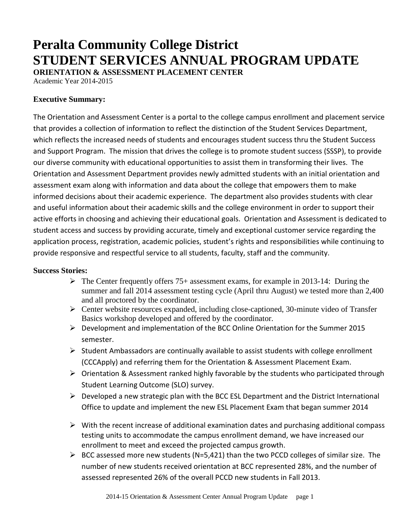# **Peralta Community College District STUDENT SERVICES ANNUAL PROGRAM UPDATE**

**ORIENTATION & ASSESSMENT PLACEMENT CENTER** 

Academic Year 2014-2015

#### **Executive Summary:**

The Orientation and Assessment Center is a portal to the college campus enrollment and placement service that provides a collection of information to reflect the distinction of the Student Services Department, which reflects the increased needs of students and encourages student success thru the Student Success and Support Program. The mission that drives the college is to promote student success (SSSP), to provide our diverse community with educational opportunities to assist them in transforming their lives. The Orientation and Assessment Department provides newly admitted students with an initial orientation and assessment exam along with information and data about the college that empowers them to make informed decisions about their academic experience. The department also provides students with clear and useful information about their academic skills and the college environment in order to support their active efforts in choosing and achieving their educational goals. Orientation and Assessment is dedicated to student access and success by providing accurate, timely and exceptional customer service regarding the application process, registration, academic policies, student's rights and responsibilities while continuing to provide responsive and respectful service to all students, faculty, staff and the community.

#### **Success Stories:**

- $\triangleright$  The Center frequently offers 75+ assessment exams, for example in 2013-14: During the summer and fall 2014 assessment testing cycle (April thru August) we tested more than 2,400 and all proctored by the coordinator.
- Center website resources expanded, including close-captioned, 30-minute video of Transfer Basics workshop developed and offered by the coordinator.
- $\triangleright$  Development and implementation of the BCC Online Orientation for the Summer 2015 semester.
- $\triangleright$  Student Ambassadors are continually available to assist students with college enrollment (CCCApply) and referring them for the Orientation & Assessment Placement Exam.
- $\triangleright$  Orientation & Assessment ranked highly favorable by the students who participated through Student Learning Outcome (SLO) survey.
- $\triangleright$  Developed a new strategic plan with the BCC ESL Department and the District International Office to update and implement the new ESL Placement Exam that began summer 2014
- $\triangleright$  With the recent increase of additional examination dates and purchasing additional compass testing units to accommodate the campus enrollment demand, we have increased our enrollment to meet and exceed the projected campus growth.
- $\triangleright$  BCC assessed more new students (N=5,421) than the two PCCD colleges of similar size. The number of new students received orientation at BCC represented 28%, and the number of assessed represented 26% of the overall PCCD new students in Fall 2013.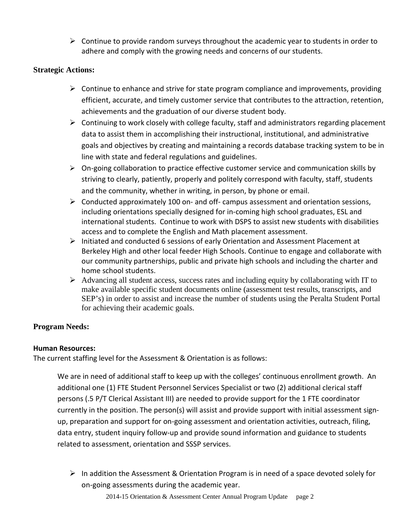$\triangleright$  Continue to provide random surveys throughout the academic year to students in order to adhere and comply with the growing needs and concerns of our students.

#### **Strategic Actions:**

- $\triangleright$  Continue to enhance and strive for state program compliance and improvements, providing efficient, accurate, and timely customer service that contributes to the attraction, retention, achievements and the graduation of our diverse student body.
- $\triangleright$  Continuing to work closely with college faculty, staff and administrators regarding placement data to assist them in accomplishing their instructional, institutional, and administrative goals and objectives by creating and maintaining a records database tracking system to be in line with state and federal regulations and guidelines.
- $\triangleright$  On-going collaboration to practice effective customer service and communication skills by striving to clearly, patiently, properly and politely correspond with faculty, staff, students and the community, whether in writing, in person, by phone or email.
- $\triangleright$  Conducted approximately 100 on- and off- campus assessment and orientation sessions, including orientations specially designed for in-coming high school graduates, ESL and international students. Continue to work with DSPS to assist new students with disabilities access and to complete the English and Math placement assessment.
- $\triangleright$  Initiated and conducted 6 sessions of early Orientation and Assessment Placement at Berkeley High and other local feeder High Schools. Continue to engage and collaborate with our community partnerships, public and private high schools and including the charter and home school students.
- $\triangleright$  Advancing all student access, success rates and including equity by collaborating with IT to make available specific student documents online (assessment test results, transcripts, and SEP's) in order to assist and increase the number of students using the Peralta Student Portal for achieving their academic goals.

#### **Program Needs:**

#### **Human Resources:**

The current staffing level for the Assessment & Orientation is as follows:

We are in need of additional staff to keep up with the colleges' continuous enrollment growth. An additional one (1) FTE Student Personnel Services Specialist or two (2) additional clerical staff persons (.5 P/T Clerical Assistant III) are needed to provide support for the 1 FTE coordinator currently in the position. The person(s) will assist and provide support with initial assessment signup, preparation and support for on-going assessment and orientation activities, outreach, filing, data entry, student inquiry follow-up and provide sound information and guidance to students related to assessment, orientation and SSSP services.

 $\triangleright$  In addition the Assessment & Orientation Program is in need of a space devoted solely for on-going assessments during the academic year.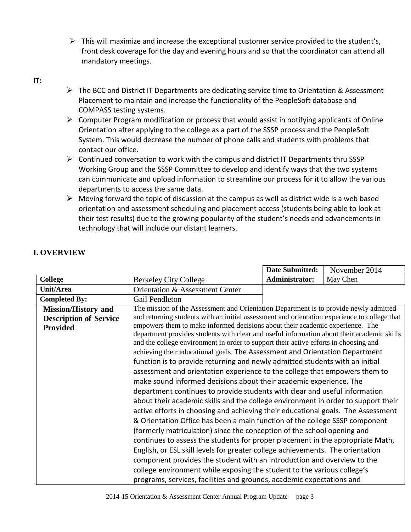$\triangleright$  This will maximize and increase the exceptional customer service provided to the student's, front desk coverage for the day and evening hours and so that the coordinator can attend all mandatory meetings.

#### **IT:**

- The BCC and District IT Departments are dedicating service time to Orientation & Assessment Placement to maintain and increase the functionality of the PeopleSoft database and COMPASS testing systems.
- $\triangleright$  Computer Program modification or process that would assist in notifying applicants of Online Orientation after applying to the college as a part of the SSSP process and the PeopleSoft System. This would decrease the number of phone calls and students with problems that contact our office.
- $\triangleright$  Continued conversation to work with the campus and district IT Departments thru SSSP Working Group and the SSSP Committee to develop and identify ways that the two systems can communicate and upload information to streamline our process for it to allow the various departments to access the same data.
- $\triangleright$  Moving forward the topic of discussion at the campus as well as district wide is a web based orientation and assessment scheduling and placement access (students being able to look at their test results) due to the growing popularity of the student's needs and advancements in technology that will include our distant learners.

|                               |                                                                                              | <b>Date Submitted:</b> | November 2014 |
|-------------------------------|----------------------------------------------------------------------------------------------|------------------------|---------------|
| <b>College</b>                | <b>Berkeley City College</b>                                                                 | Administrator:         | May Chen      |
| Unit/Area                     | Orientation & Assessment Center                                                              |                        |               |
| <b>Completed By:</b>          | Gail Pendleton                                                                               |                        |               |
| <b>Mission/History and</b>    | The mission of the Assessment and Orientation Department is to provide newly admitted        |                        |               |
| <b>Description of Service</b> | and returning students with an initial assessment and orientation experience to college that |                        |               |
| <b>Provided</b>               | empowers them to make informed decisions about their academic experience. The                |                        |               |
|                               | department provides students with clear and useful information about their academic skills   |                        |               |
|                               | and the college environment in order to support their active efforts in choosing and         |                        |               |
|                               | achieving their educational goals. The Assessment and Orientation Department                 |                        |               |
|                               | function is to provide returning and newly admitted students with an initial                 |                        |               |
|                               | assessment and orientation experience to the college that empowers them to                   |                        |               |
|                               | make sound informed decisions about their academic experience. The                           |                        |               |
|                               | department continues to provide students with clear and useful information                   |                        |               |
|                               | about their academic skills and the college environment in order to support their            |                        |               |
|                               | active efforts in choosing and achieving their educational goals. The Assessment             |                        |               |
|                               | & Orientation Office has been a main function of the college SSSP component                  |                        |               |
|                               | (formerly matriculation) since the conception of the school opening and                      |                        |               |
|                               | continues to assess the students for proper placement in the appropriate Math,               |                        |               |
|                               | English, or ESL skill levels for greater college achievements. The orientation               |                        |               |
|                               | component provides the student with an introduction and overview to the                      |                        |               |
|                               |                                                                                              |                        |               |
|                               | college environment while exposing the student to the various college's                      |                        |               |
|                               | programs, services, facilities and grounds, academic expectations and                        |                        |               |

#### **I. OVERVIEW**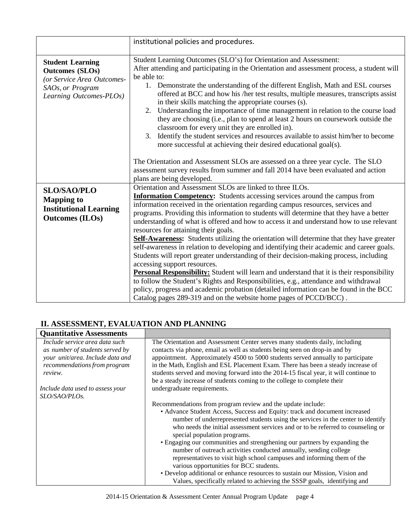|                                                                                                                                | institutional policies and procedures.                                                                                                                                                                                                                                                                                                                                                                                                                                                                                                                                                                                                                                                                                                                                                                           |
|--------------------------------------------------------------------------------------------------------------------------------|------------------------------------------------------------------------------------------------------------------------------------------------------------------------------------------------------------------------------------------------------------------------------------------------------------------------------------------------------------------------------------------------------------------------------------------------------------------------------------------------------------------------------------------------------------------------------------------------------------------------------------------------------------------------------------------------------------------------------------------------------------------------------------------------------------------|
| <b>Student Learning</b><br><b>Outcomes (SLOs)</b><br>(or Service Area Outcomes-<br>SAOs, or Program<br>Learning Outcomes-PLOs) | Student Learning Outcomes (SLO's) for Orientation and Assessment:<br>After attending and participating in the Orientation and assessment process, a student will<br>be able to:<br>1. Demonstrate the understanding of the different English, Math and ESL courses<br>offered at BCC and how his /her test results, multiple measures, transcripts assist<br>in their skills matching the appropriate courses (s).<br>Understanding the importance of time management in relation to the course load<br>2.<br>they are choosing (i.e., plan to spend at least 2 hours on coursework outside the<br>classroom for every unit they are enrolled in).<br>Identify the student services and resources available to assist him/her to become<br>3.<br>more successful at achieving their desired educational goal(s). |
|                                                                                                                                | The Orientation and Assessment SLOs are assessed on a three year cycle. The SLO<br>assessment survey results from summer and fall 2014 have been evaluated and action<br>plans are being developed.                                                                                                                                                                                                                                                                                                                                                                                                                                                                                                                                                                                                              |
| <b>SLO/SAO/PLO</b><br><b>Mapping to</b><br><b>Institutional Learning</b><br><b>Outcomes (ILOs)</b>                             | Orientation and Assessment SLOs are linked to three ILOs.<br><b>Information Competency:</b> Students accessing services around the campus from<br>information received in the orientation regarding campus resources, services and<br>programs. Providing this information to students will determine that they have a better<br>understanding of what is offered and how to access it and understand how to use relevant<br>resources for attaining their goals.<br>Self-Awareness: Students utilizing the orientation will determine that they have greater                                                                                                                                                                                                                                                    |
|                                                                                                                                | self-awareness in relation to developing and identifying their academic and career goals.<br>Students will report greater understanding of their decision-making process, including<br>accessing support resources.<br><b>Personal Responsibility:</b> Student will learn and understand that it is their responsibility<br>to follow the Student's Rights and Responsibilities, e.g., attendance and withdrawal<br>policy, progress and academic probation (detailed information can be found in the BCC<br>Catalog pages 289-319 and on the website home pages of PCCD/BCC).                                                                                                                                                                                                                                   |

## **II. ASSESSMENT, EVALUATION AND PLANNING**

| <b>Quantitative Assessments</b>                                                                       |                                                                                                                                                                                                                                                                                                                                                   |
|-------------------------------------------------------------------------------------------------------|---------------------------------------------------------------------------------------------------------------------------------------------------------------------------------------------------------------------------------------------------------------------------------------------------------------------------------------------------|
| Include service area data such<br>as number of students served by<br>your unit/area. Include data and | The Orientation and Assessment Center serves many students daily, including<br>contacts via phone, email as well as students being seen on drop-in and by<br>appointment. Approximately 4500 to 5000 students served annually to participate                                                                                                      |
| recommendations from program<br>review.                                                               | in the Math, English and ESL Placement Exam. There has been a steady increase of<br>students served and moving forward into the 2014-15 fiscal year, it will continue to<br>be a steady increase of students coming to the college to complete their                                                                                              |
| Include data used to assess your<br>SLO/SAO/PLOs.                                                     | undergraduate requirements.                                                                                                                                                                                                                                                                                                                       |
|                                                                                                       | Recommendations from program review and the update include:<br>• Advance Student Access, Success and Equity: track and document increased<br>number of underrepresented students using the services in the center to identify<br>who needs the initial assessment services and or to be referred to counseling or<br>special population programs. |
|                                                                                                       | • Engaging our communities and strengthening our partners by expanding the<br>number of outreach activities conducted annually, sending college<br>representatives to visit high school campuses and informing them of the<br>various opportunities for BCC students.                                                                             |
|                                                                                                       | • Develop additional or enhance resources to sustain our Mission, Vision and<br>Values, specifically related to achieving the SSSP goals, identifying and                                                                                                                                                                                         |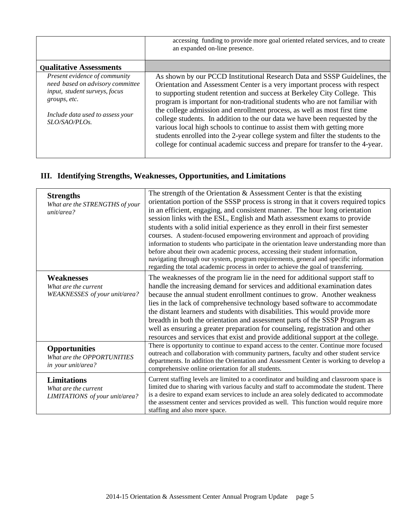|                                                                                                                                                                         | accessing funding to provide more goal oriented related services, and to create<br>an expanded on-line presence.                                                                                                                                                                                                                                                                                                                                                                                                                                                                                                                                                                                                                |
|-------------------------------------------------------------------------------------------------------------------------------------------------------------------------|---------------------------------------------------------------------------------------------------------------------------------------------------------------------------------------------------------------------------------------------------------------------------------------------------------------------------------------------------------------------------------------------------------------------------------------------------------------------------------------------------------------------------------------------------------------------------------------------------------------------------------------------------------------------------------------------------------------------------------|
| <b>Qualitative Assessments</b>                                                                                                                                          |                                                                                                                                                                                                                                                                                                                                                                                                                                                                                                                                                                                                                                                                                                                                 |
| Present evidence of community<br>need based on advisory committee<br>input, student surveys, focus<br>groups, etc.<br>Include data used to assess your<br>SLO/SAO/PLOs. | As shown by our PCCD Institutional Research Data and SSSP Guidelines, the<br>Orientation and Assessment Center is a very important process with respect<br>to supporting student retention and success at Berkeley City College. This<br>program is important for non-traditional students who are not familiar with<br>the college admission and enrollment process, as well as most first time<br>college students. In addition to the our data we have been requested by the<br>various local high schools to continue to assist them with getting more<br>students enrolled into the 2-year college system and filter the students to the<br>college for continual academic success and prepare for transfer to the 4-year. |

## **III. Identifying Strengths, Weaknesses, Opportunities, and Limitations**

| <b>Strengths</b><br>What are the STRENGTHS of your<br>unit/area?             | The strength of the Orientation $\&$ Assessment Center is that the existing<br>orientation portion of the SSSP process is strong in that it covers required topics<br>in an efficient, engaging, and consistent manner. The hour long orientation<br>session links with the ESL, English and Math assessment exams to provide<br>students with a solid initial experience as they enroll in their first semester<br>courses. A student-focused empowering environment and approach of providing<br>information to students who participate in the orientation leave understanding more than<br>before about their own academic process, accessing their student information, |
|------------------------------------------------------------------------------|------------------------------------------------------------------------------------------------------------------------------------------------------------------------------------------------------------------------------------------------------------------------------------------------------------------------------------------------------------------------------------------------------------------------------------------------------------------------------------------------------------------------------------------------------------------------------------------------------------------------------------------------------------------------------|
|                                                                              | navigating through our system, program requirements, general and specific information<br>regarding the total academic process in order to achieve the goal of transferring.                                                                                                                                                                                                                                                                                                                                                                                                                                                                                                  |
| <b>Weaknesses</b><br>What are the current<br>WEAKNESSES of your unit/area?   | The weaknesses of the program lie in the need for additional support staff to<br>handle the increasing demand for services and additional examination dates<br>because the annual student enrollment continues to grow. Another weakness<br>lies in the lack of comprehensive technology based software to accommodate<br>the distant learners and students with disabilities. This would provide more<br>breadth in both the orientation and assessment parts of the SSSP Program as<br>well as ensuring a greater preparation for counseling, registration and other<br>resources and services that exist and provide additional support at the college.                   |
| <b>Opportunities</b><br>What are the OPPORTUNITIES<br>in your unit/area?     | There is opportunity to continue to expand access to the center. Continue more focused<br>outreach and collaboration with community partners, faculty and other student service<br>departments. In addition the Orientation and Assessment Center is working to develop a<br>comprehensive online orientation for all students.                                                                                                                                                                                                                                                                                                                                              |
| <b>Limitations</b><br>What are the current<br>LIMITATIONS of your unit/area? | Current staffing levels are limited to a coordinator and building and classroom space is<br>limited due to sharing with various faculty and staff to accommodate the student. There<br>is a desire to expand exam services to include an area solely dedicated to accommodate<br>the assessment center and services provided as well. This function would require more<br>staffing and also more space.                                                                                                                                                                                                                                                                      |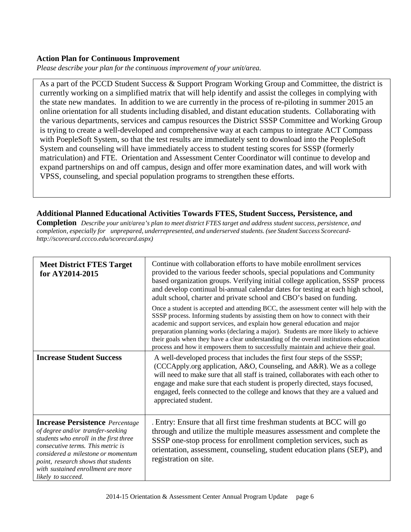#### **Action Plan for Continuous Improvement**

*Please describe your plan for the continuous improvement of your unit/area.*

As a part of the PCCD Student Success & Support Program Working Group and Committee, the district is currently working on a simplified matrix that will help identify and assist the colleges in complying with the state new mandates. In addition to we are currently in the process of re-piloting in summer 2015 an online orientation for all students including disabled, and distant education students. Collaborating with the various departments, services and campus resources the District SSSP Committee and Working Group is trying to create a well-developed and comprehensive way at each campus to integrate ACT Compass with PoepleSoft System, so that the test results are immediately sent to download into the PeopleSoft System and counseling will have immediately access to student testing scores for SSSP (formerly matriculation) and FTE. Orientation and Assessment Center Coordinator will continue to develop and expand partnerships on and off campus, design and offer more examination dates, and will work with VPSS, counseling, and special population programs to strengthen these efforts.

#### **Additional Planned Educational Activities Towards FTES, Student Success, Persistence, and**

**Completion** Describe your unit/area's plan to meet district FTES target and address student success, persistence, and *completion, especially for unprepared, underrepresented, and underserved students. (see Student Success Scorecard[http://scorecard.cccco.edu/scorecard.aspx\)](http://scorecard.cccco.edu/scorecard.aspx))*

| <b>Meet District FTES Target</b><br>for AY2014-2015                                                                                                                                                                                                                                                 | Continue with collaboration efforts to have mobile enrollment services<br>provided to the various feeder schools, special populations and Community<br>based organization groups. Verifying initial college application, SSSP process<br>and develop continual bi-annual calendar dates for testing at each high school,<br>adult school, charter and private school and CBO's based on funding.                                                                                                                              |  |
|-----------------------------------------------------------------------------------------------------------------------------------------------------------------------------------------------------------------------------------------------------------------------------------------------------|-------------------------------------------------------------------------------------------------------------------------------------------------------------------------------------------------------------------------------------------------------------------------------------------------------------------------------------------------------------------------------------------------------------------------------------------------------------------------------------------------------------------------------|--|
|                                                                                                                                                                                                                                                                                                     | Once a student is accepted and attending BCC, the assessment center will help with the<br>SSSP process. Informing students by assisting them on how to connect with their<br>academic and support services, and explain how general education and major<br>preparation planning works (declaring a major). Students are more likely to achieve<br>their goals when they have a clear understanding of the overall institutions education<br>process and how it empowers them to successfully maintain and achieve their goal. |  |
| <b>Increase Student Success</b>                                                                                                                                                                                                                                                                     | A well-developed process that includes the first four steps of the SSSP;<br>(CCCApply.org application, A&O, Counseling, and A&R). We as a college<br>will need to make sure that all staff is trained, collaborates with each other to<br>engage and make sure that each student is properly directed, stays focused,<br>engaged, feels connected to the college and knows that they are a valued and<br>appreciated student.                                                                                                 |  |
| <b>Increase Persistence</b> Percentage<br>of degree and/or transfer-seeking<br>students who enroll in the first three<br>consecutive terms. This metric is<br>considered a milestone or momentum<br>point, research shows that students<br>with sustained enrollment are more<br>likely to succeed. | . Entry: Ensure that all first time freshman students at BCC will go<br>through and utilize the multiple measures assessment and complete the<br>SSSP one-stop process for enrollment completion services, such as<br>orientation, assessment, counseling, student education plans (SEP), and<br>registration on site.                                                                                                                                                                                                        |  |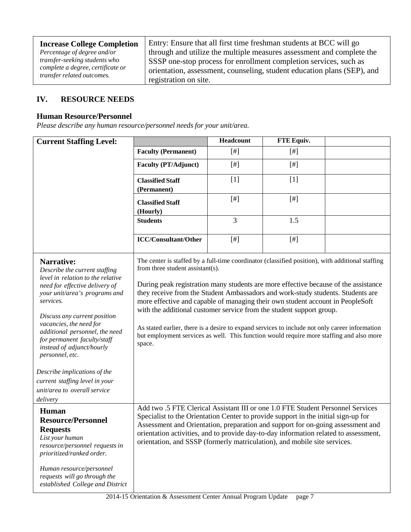| <b>Increase College Completion</b>                              | Entry: Ensure that all first time freshman students at BCC will go      |
|-----------------------------------------------------------------|-------------------------------------------------------------------------|
| Percentage of degree and/or                                     | through and utilize the multiple measures assessment and complete the   |
| transfer-seeking students who                                   | SSSP one-stop process for enrollment completion services, such as       |
| complete a degree, certificate or<br>transfer related outcomes. | orientation, assessment, counseling, student education plans (SEP), and |
|                                                                 | registration on site.                                                   |

## **IV. RESOURCE NEEDS**

#### **Human Resource/Personnel**

*Please describe any human resource/personnel needs for your unit/area.*

| <b>Current Staffing Level:</b>                                                                                                                                                                                                                                                                                                                                                                                                                             |                                                                                                                                                                                                                                                                                                                                                                                                                                                                                                                                                                                                                                                                                  | Headcount | FTE Equiv. |  |
|------------------------------------------------------------------------------------------------------------------------------------------------------------------------------------------------------------------------------------------------------------------------------------------------------------------------------------------------------------------------------------------------------------------------------------------------------------|----------------------------------------------------------------------------------------------------------------------------------------------------------------------------------------------------------------------------------------------------------------------------------------------------------------------------------------------------------------------------------------------------------------------------------------------------------------------------------------------------------------------------------------------------------------------------------------------------------------------------------------------------------------------------------|-----------|------------|--|
|                                                                                                                                                                                                                                                                                                                                                                                                                                                            | <b>Faculty (Permanent)</b>                                                                                                                                                                                                                                                                                                                                                                                                                                                                                                                                                                                                                                                       | $[$       | $[$ #]     |  |
|                                                                                                                                                                                                                                                                                                                                                                                                                                                            | <b>Faculty (PT/Adjunct)</b>                                                                                                                                                                                                                                                                                                                                                                                                                                                                                                                                                                                                                                                      | $[$       | $[$        |  |
|                                                                                                                                                                                                                                                                                                                                                                                                                                                            | <b>Classified Staff</b><br>(Permanent)                                                                                                                                                                                                                                                                                                                                                                                                                                                                                                                                                                                                                                           | $[1]$     | $[1]$      |  |
|                                                                                                                                                                                                                                                                                                                                                                                                                                                            | <b>Classified Staff</b><br>(Hourly)                                                                                                                                                                                                                                                                                                                                                                                                                                                                                                                                                                                                                                              | $[$       | $[$        |  |
|                                                                                                                                                                                                                                                                                                                                                                                                                                                            | <b>Students</b>                                                                                                                                                                                                                                                                                                                                                                                                                                                                                                                                                                                                                                                                  | 3         | 1.5        |  |
|                                                                                                                                                                                                                                                                                                                                                                                                                                                            | <b>ICC/Consultant/Other</b>                                                                                                                                                                                                                                                                                                                                                                                                                                                                                                                                                                                                                                                      | $[$ #]    | $[$ #]     |  |
| Narrative:<br>Describe the current staffing<br>level in relation to the relative<br>need for effective delivery of<br>your unit/area's programs and<br>services.<br>Discuss any current position<br>vacancies, the need for<br>additional personnel, the need<br>for permanent faculty/staff<br>instead of adjunct/hourly<br>personnel, etc.<br>Describe implications of the<br>current staffing level in your<br>unit/area to overall service<br>delivery | The center is staffed by a full-time coordinator (classified position), with additional staffing<br>from three student assistant(s).<br>During peak registration many students are more effective because of the assistance<br>they receive from the Student Ambassadors and work-study students. Students are<br>more effective and capable of managing their own student account in PeopleSoft<br>with the additional customer service from the student support group.<br>As stated earlier, there is a desire to expand services to include not only career information<br>but employment services as well. This function would require more staffing and also more<br>space. |           |            |  |
| <b>Human</b><br><b>Resource/Personnel</b><br><b>Requests</b><br>List your human<br>resource/personnel requests in<br>prioritized/ranked order.<br>Human resource/personnel<br>requests will go through the<br>established College and District                                                                                                                                                                                                             | Add two .5 FTE Clerical Assistant III or one 1.0 FTE Student Personnel Services<br>Specialist to the Orientation Center to provide support in the initial sign-up for<br>Assessment and Orientation, preparation and support for on-going assessment and<br>orientation activities, and to provide day-to-day information related to assessment,<br>orientation, and SSSP (formerly matriculation), and mobile site services.                                                                                                                                                                                                                                                    |           |            |  |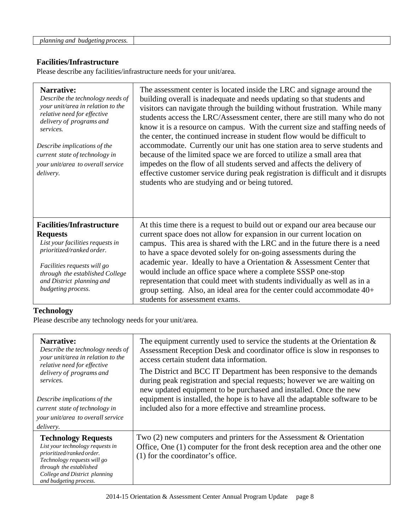| <sup>.</sup> ano<br>process<br>budgetir<br>.mnino<br>77<br>zeun<br>. C.Y.Y<br>. |  |
|---------------------------------------------------------------------------------|--|
|                                                                                 |  |

#### **Facilities/Infrastructure**

Please describe any facilities/infrastructure needs for your unit/area.

| <b>Narrative:</b><br>Describe the technology needs of<br>your unit/area in relation to the<br>relative need for effective<br>delivery of programs and<br>services.<br>Describe implications of the<br>current state of technology in<br>your unit/area to overall service<br>delivery. | The assessment center is located inside the LRC and signage around the<br>building overall is inadequate and needs updating so that students and<br>visitors can navigate through the building without frustration. While many<br>students access the LRC/Assessment center, there are still many who do not<br>know it is a resource on campus. With the current size and staffing needs of<br>the center, the continued increase in student flow would be difficult to<br>accommodate. Currently our unit has one station area to serve students and<br>because of the limited space we are forced to utilize a small area that<br>impedes on the flow of all students served and affects the delivery of<br>effective customer service during peak registration is difficult and it disrupts<br>students who are studying and or being tutored. |
|----------------------------------------------------------------------------------------------------------------------------------------------------------------------------------------------------------------------------------------------------------------------------------------|----------------------------------------------------------------------------------------------------------------------------------------------------------------------------------------------------------------------------------------------------------------------------------------------------------------------------------------------------------------------------------------------------------------------------------------------------------------------------------------------------------------------------------------------------------------------------------------------------------------------------------------------------------------------------------------------------------------------------------------------------------------------------------------------------------------------------------------------------|
| <b>Facilities/Infrastructure</b><br><b>Requests</b><br>List your facilities requests in<br>prioritized/ranked order.<br>Facilities requests will go<br>through the established College<br>and District planning and<br>budgeting process.                                              | At this time there is a request to build out or expand our area because our<br>current space does not allow for expansion in our current location on<br>campus. This area is shared with the LRC and in the future there is a need<br>to have a space devoted solely for on-going assessments during the<br>academic year. Ideally to have a Orientation & Assessment Center that<br>would include an office space where a complete SSSP one-stop<br>representation that could meet with students individually as well as in a<br>group setting. Also, an ideal area for the center could accommodate 40+<br>students for assessment exams.                                                                                                                                                                                                        |

## **Technology**

Please describe any technology needs for your unit/area.

| Narrative:<br>Describe the technology needs of<br>your unit/area in relation to the<br>relative need for effective<br>delivery of programs and<br>services.<br>Describe implications of the<br>current state of technology in<br>your unit/area to overall service<br>delivery. | The equipment currently used to service the students at the Orientation $\&$<br>Assessment Reception Desk and coordinator office is slow in responses to<br>access certain student data information.<br>The District and BCC IT Department has been responsive to the demands<br>during peak registration and special requests; however we are waiting on<br>new updated equipment to be purchased and installed. Once the new<br>equipment is installed, the hope is to have all the adaptable software to be<br>included also for a more effective and streamline process. |
|---------------------------------------------------------------------------------------------------------------------------------------------------------------------------------------------------------------------------------------------------------------------------------|------------------------------------------------------------------------------------------------------------------------------------------------------------------------------------------------------------------------------------------------------------------------------------------------------------------------------------------------------------------------------------------------------------------------------------------------------------------------------------------------------------------------------------------------------------------------------|
| <b>Technology Requests</b><br>List your technology requests in<br>prioritized/ranked order.<br>Technology requests will go<br>through the established<br>College and District planning<br>and budgeting process.                                                                | Two $(2)$ new computers and printers for the Assessment & Orientation<br>Office, One (1) computer for the front desk reception area and the other one<br>(1) for the coordinator's office.                                                                                                                                                                                                                                                                                                                                                                                   |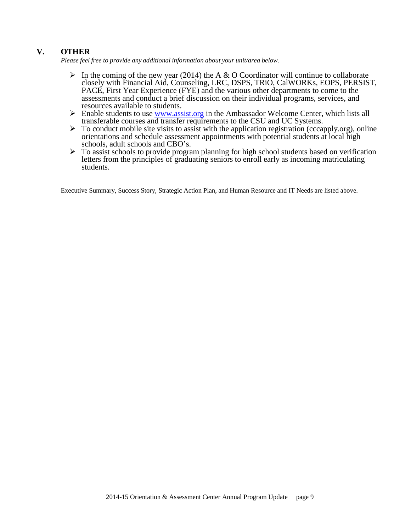#### **V. OTHER**

*Please feel free to provide any additional information about your unit/area below.*

- In the coming of the new year (2014) the A & O Coordinator will continue to collaborate closely with Financial Aid, Counseling, LRC, DSPS, TRiO, CalWORKs, EOPS, PERSIST, PACE, First Year Experience (FYE) and the various other departments to come to the assessments and conduct a brief discussion on their individual programs, services, and resources available to students.
- $\triangleright$  Enable students to use <u>www.assist.org</u> in the Ambassador Welcome Center, which lists all transferable courses and transfer requirements to the CSU and UC Systems.
- $\triangleright$  To conduct mobile site visits to assist with the application registration (cccapply.org), online orientations and schedule assessment appointments with potential students at local high schools, adult schools and CBO's.
- $\triangleright$  To assist schools to provide program planning for high school students based on verification letters from the principles of graduating seniors to enroll early as incoming matriculating students.

Executive Summary, Success Story, Strategic Action Plan, and Human Resource and IT Needs are listed above.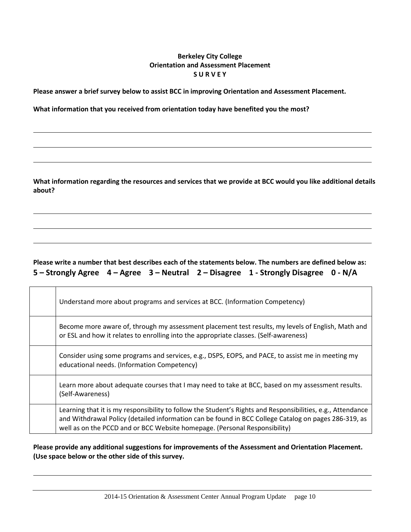#### **Berkeley City College Orientation and Assessment Placement S U R V E Y**

**Please answer a brief survey below to assist BCC in improving Orientation and Assessment Placement.**

**What information that you received from orientation today have benefited you the most?**

**What information regarding the resources and services that we provide at BCC would you like additional details about?**

### **Please write a number that best describes each of the statements below. The numbers are defined below as: 5 – Strongly Agree 4 – Agree 3 – Neutral 2 – Disagree 1 - Strongly Disagree 0 - N/A**

| Understand more about programs and services at BCC. (Information Competency)                                                                                                                                                                                                                      |
|---------------------------------------------------------------------------------------------------------------------------------------------------------------------------------------------------------------------------------------------------------------------------------------------------|
| Become more aware of, through my assessment placement test results, my levels of English, Math and<br>or ESL and how it relates to enrolling into the appropriate classes. (Self-awareness)                                                                                                       |
| Consider using some programs and services, e.g., DSPS, EOPS, and PACE, to assist me in meeting my<br>educational needs. (Information Competency)                                                                                                                                                  |
| Learn more about adequate courses that I may need to take at BCC, based on my assessment results.<br>(Self-Awareness)                                                                                                                                                                             |
| Learning that it is my responsibility to follow the Student's Rights and Responsibilities, e.g., Attendance<br>and Withdrawal Policy (detailed information can be found in BCC College Catalog on pages 286-319, as<br>well as on the PCCD and or BCC Website homepage. (Personal Responsibility) |

**Please provide any additional suggestions for improvements of the Assessment and Orientation Placement. (Use space below or the other side of this survey.**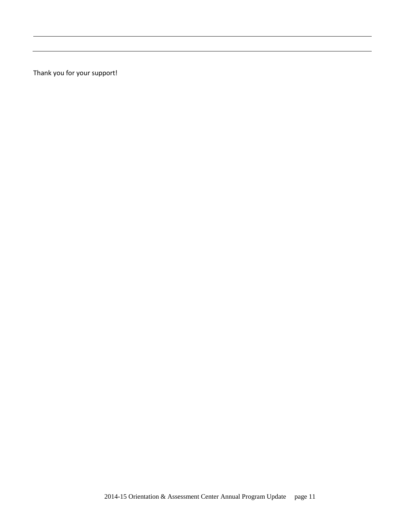Thank you for your support!